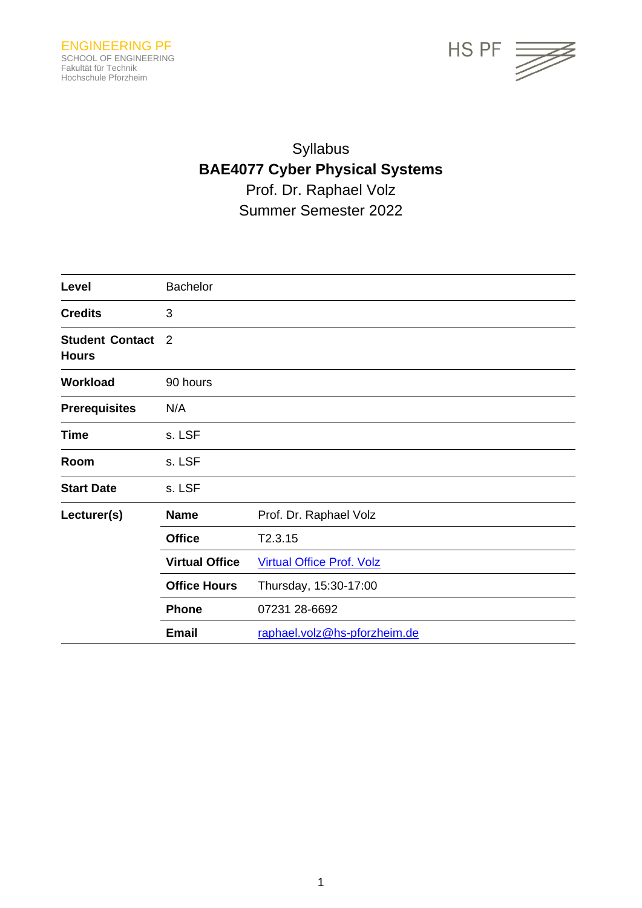

## Syllabus **BAE4077 Cyber Physical Systems** Prof. Dr. Raphael Volz Summer Semester 2022

| Level                                  | <b>Bachelor</b>       |                                  |
|----------------------------------------|-----------------------|----------------------------------|
| <b>Credits</b>                         | 3                     |                                  |
| <b>Student Contact</b><br><b>Hours</b> | 2                     |                                  |
| Workload                               | 90 hours              |                                  |
| <b>Prerequisites</b>                   | N/A                   |                                  |
| <b>Time</b>                            | s. LSF                |                                  |
| Room                                   | s. LSF                |                                  |
| <b>Start Date</b>                      | s. LSF                |                                  |
| Lecturer(s)                            | <b>Name</b>           | Prof. Dr. Raphael Volz           |
|                                        | <b>Office</b>         | T2.3.15                          |
|                                        | <b>Virtual Office</b> | <b>Virtual Office Prof. Volz</b> |
|                                        | <b>Office Hours</b>   | Thursday, 15:30-17:00            |
|                                        | <b>Phone</b>          | 07231 28-6692                    |
|                                        | <b>Email</b>          | raphael.volz@hs-pforzheim.de     |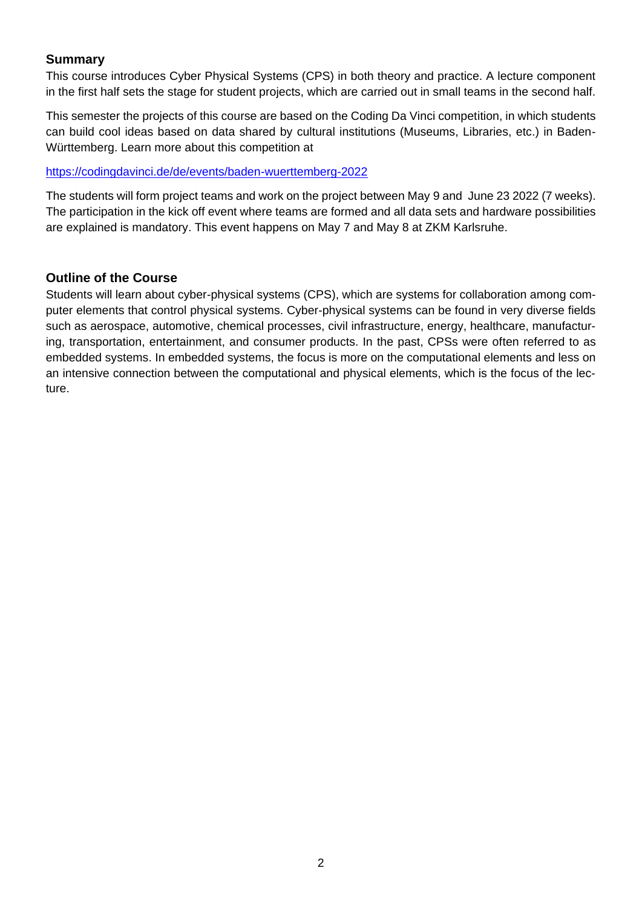#### **Summary**

This course introduces Cyber Physical Systems (CPS) in both theory and practice. A lecture component in the first half sets the stage for student projects, which are carried out in small teams in the second half.

This semester the projects of this course are based on the Coding Da Vinci competition, in which students can build cool ideas based on data shared by cultural institutions (Museums, Libraries, etc.) in Baden-Württemberg. Learn more about this competition at

<https://codingdavinci.de/de/events/baden-wuerttemberg-2022>

The students will form project teams and work on the project between May 9 and June 23 2022 (7 weeks). The participation in the kick off event where teams are formed and all data sets and hardware possibilities are explained is mandatory. This event happens on May 7 and May 8 at ZKM Karlsruhe.

#### **Outline of the Course**

Students will learn about cyber-physical systems (CPS), which are systems for collaboration among computer elements that control physical systems. Cyber-physical systems can be found in very diverse fields such as aerospace, automotive, chemical processes, civil infrastructure, energy, healthcare, manufacturing, transportation, entertainment, and consumer products. In the past, CPSs were often referred to as embedded systems. In embedded systems, the focus is more on the computational elements and less on an intensive connection between the computational and physical elements, which is the focus of the lecture.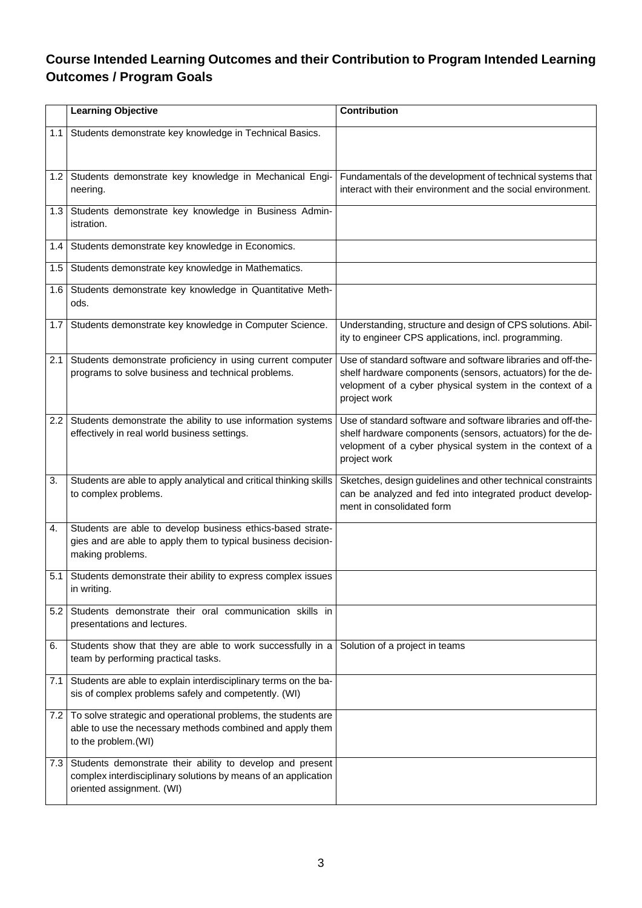### **Course Intended Learning Outcomes and their Contribution to Program Intended Learning Outcomes / Program Goals**

|     | <b>Learning Objective</b>                                                                                                                                | <b>Contribution</b>                                                                                                                                                                                    |
|-----|----------------------------------------------------------------------------------------------------------------------------------------------------------|--------------------------------------------------------------------------------------------------------------------------------------------------------------------------------------------------------|
| 1.1 | Students demonstrate key knowledge in Technical Basics.                                                                                                  |                                                                                                                                                                                                        |
| 1.2 | Students demonstrate key knowledge in Mechanical Engi-<br>neering.                                                                                       | Fundamentals of the development of technical systems that<br>interact with their environment and the social environment.                                                                               |
| 1.3 | Students demonstrate key knowledge in Business Admin-<br>istration.                                                                                      |                                                                                                                                                                                                        |
| 1.4 | Students demonstrate key knowledge in Economics.                                                                                                         |                                                                                                                                                                                                        |
| 1.5 | Students demonstrate key knowledge in Mathematics.                                                                                                       |                                                                                                                                                                                                        |
| 1.6 | Students demonstrate key knowledge in Quantitative Meth-<br>ods.                                                                                         |                                                                                                                                                                                                        |
| 1.7 | Students demonstrate key knowledge in Computer Science.                                                                                                  | Understanding, structure and design of CPS solutions. Abil-<br>ity to engineer CPS applications, incl. programming.                                                                                    |
| 2.1 | Students demonstrate proficiency in using current computer<br>programs to solve business and technical problems.                                         | Use of standard software and software libraries and off-the-<br>shelf hardware components (sensors, actuators) for the de-<br>velopment of a cyber physical system in the context of a<br>project work |
| 2.2 | Students demonstrate the ability to use information systems<br>effectively in real world business settings.                                              | Use of standard software and software libraries and off-the-<br>shelf hardware components (sensors, actuators) for the de-<br>velopment of a cyber physical system in the context of a<br>project work |
| 3.  | Students are able to apply analytical and critical thinking skills<br>to complex problems.                                                               | Sketches, design guidelines and other technical constraints<br>can be analyzed and fed into integrated product develop-<br>ment in consolidated form                                                   |
| 4.  | Students are able to develop business ethics-based strate-<br>gies and are able to apply them to typical business decision-<br>making problems.          |                                                                                                                                                                                                        |
| 5.1 | Students demonstrate their ability to express complex issues<br>in writing.                                                                              |                                                                                                                                                                                                        |
| 5.2 | Students demonstrate their oral communication skills in<br>presentations and lectures.                                                                   |                                                                                                                                                                                                        |
| 6.  | Students show that they are able to work successfully in a<br>team by performing practical tasks.                                                        | Solution of a project in teams                                                                                                                                                                         |
| 7.1 | Students are able to explain interdisciplinary terms on the ba-<br>sis of complex problems safely and competently. (WI)                                  |                                                                                                                                                                                                        |
|     | 7.2 To solve strategic and operational problems, the students are<br>able to use the necessary methods combined and apply them<br>to the problem. (WI)   |                                                                                                                                                                                                        |
| 7.3 | Students demonstrate their ability to develop and present<br>complex interdisciplinary solutions by means of an application<br>oriented assignment. (WI) |                                                                                                                                                                                                        |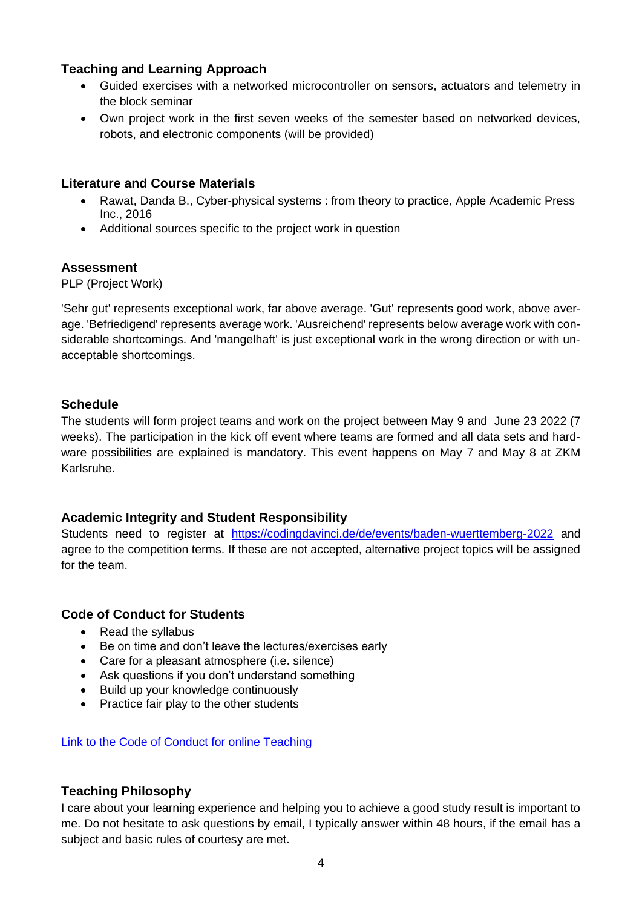#### **Teaching and Learning Approach**

- Guided exercises with a networked microcontroller on sensors, actuators and telemetry in the block seminar
- Own project work in the first seven weeks of the semester based on networked devices, robots, and electronic components (will be provided)

#### **Literature and Course Materials**

- Rawat, Danda B., Cyber-physical systems : from theory to practice, Apple Academic Press Inc., 2016
- Additional sources specific to the project work in question

#### **Assessment**

PLP (Project Work)

'Sehr gut' represents exceptional work, far above average. 'Gut' represents good work, above average. 'Befriedigend' represents average work. 'Ausreichend' represents below average work with considerable shortcomings. And 'mangelhaft' is just exceptional work in the wrong direction or with unacceptable shortcomings.

#### **Schedule**

The students will form project teams and work on the project between May 9 and June 23 2022 (7 weeks). The participation in the kick off event where teams are formed and all data sets and hardware possibilities are explained is mandatory. This event happens on May 7 and May 8 at ZKM Karlsruhe.

#### **Academic Integrity and Student Responsibility**

Students need to register at <https://codingdavinci.de/de/events/baden-wuerttemberg-2022> and agree to the competition terms. If these are not accepted, alternative project topics will be assigned for the team.

#### **Code of Conduct for Students**

- Read the syllabus
- Be on time and don't leave the lectures/exercises early
- Care for a pleasant atmosphere (i.e. silence)
- Ask questions if you don't understand something
- Build up your knowledge continuously
- Practice fair play to the other students

Link to the [Code of Conduct for online Teaching](https://e-campus.hs-pforzheim.de/business_pf/digital_learning_tools_links)

#### **Teaching Philosophy**

I care about your learning experience and helping you to achieve a good study result is important to me. Do not hesitate to ask questions by email, I typically answer within 48 hours, if the email has a subject and basic rules of courtesy are met.